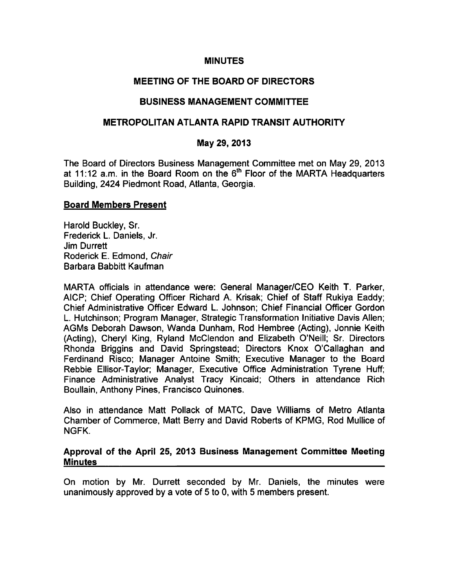### **MINUTES**

# MEETING OF THE BOARD OF DIRECTORS

### BUSINESS MANAGEMENT COMMITTEE

# METROPOLITAN ATLANTA RAPID TRANSIT AUTHORITY

#### May 29, 2013

The Board of Directors Business Management Committee met on May 29, 2013 at 11:12 a.m. in the Board Room on the  $6<sup>th</sup>$  Floor of the MARTA Headquarters Building, 2424 Piedmont Road, Atlanta, Georgia.

### Board Members Present

Harold Buckley, Sr. Frederick L. Daniels, Jr. Jim Durrett Roderick E. Edmond, Chair Barbara Babbitt Kaufman

MARTA officials in attendance were: General Manager/CEO Keith T. Parker, AICP; Chief Operating Officer Richard A. Krisak; Chief of Staff Rukiya Eaddy; Chief Administrative Officer Edward L. Johnson; Chief Financial Officer Gordon L. Hutchinson; Program Manager, Strategic Transformation Initiative Davis Allen; AGMs Deborah Dawson, Wanda Dunham, Rod Hembree (Acting), Jonnie Keith (Acting), Cheryl King, Ryland McClendon and Elizabeth O'Neill; Sr. Directors Rhonda Briggins and David Springstead; Directors Knox O'Callaghan and Ferdinand Risco; Manager Antoine Smith; Executive Manager to the Board Rebbie Ellisor-Taylor; Manager, Executive Office Administration Tyrene Huff; Finance Administrative Analyst Tracy Kincaid; Others in attendance Rich Boullain, Anthony Pines, Francisco Quinones.

Also in attendance Matt Pollack of MATC, Dave Williams of Metro Atlanta Chamber of Commerce, Matt Berry and David Roberts of KPMG, Rod Mullice of NGFK.

### Approval of the April 25, 2013 Business Management Committee Meeting **Minutes**

On motion by Mr. Durrett seconded by Mr. Daniels, the minutes were unanimously approved by a vote of 5 to 0, with 5 members present.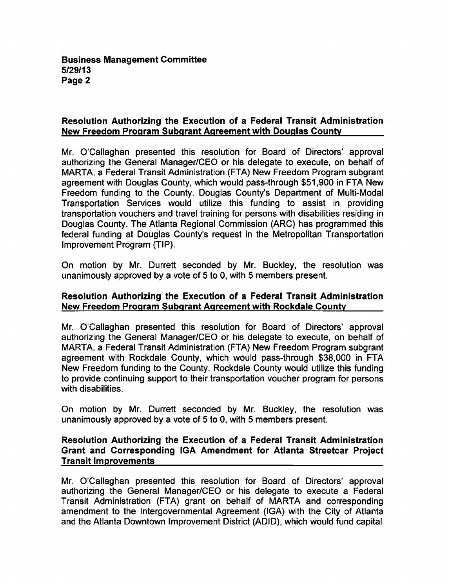# Resolution Authorizing the Execution of a Federal Transit Administration New Freedom Program Subqrant Agreement with Douglas County

Mr. O'Callaghan presented this resolution for Board of Directors' approval authorizing the General Manager/CEO or his delegate to execute, on behalf of MARTA, a Federal Transit Administration (FTA) New Freedom Program subgrant agreement with Douglas County, which would pass-through \$51,900 in FTA New Freedom funding to the County. Douglas County's Department of Multi-Modal Transportation Services would utilize this funding to assist in providing transportation vouchers and travel training for persons with disabilities residing in Douglas County. The Atlanta Regional Commission (ARC) has programmed this federal funding at Douglas County's request in the Metropolitan Transportation Improvement Program (TIP).

On motion by Mr. Durrett seconded by Mr. Buckley, the resolution was unanimously approved by a vote of 5 to 0, with 5 members present.

### Resolution Authorizing the Execution of a Federal Transit Administration New Freedom Program Subgrant Agreement with Rockdale County

Mr. O'Callaghan presented this resolution for Board of Directors' approval authorizing the General Manager/CEO or his delegate to execute, on behalf of MARTA, a Federal Transit Administration (FTA) New Freedom Program subgrant agreement with Rockdale County, which would pass-through \$38,000 in FTA New Freedom funding to the County. Rockdale County would utilize this funding to provide continuing support to their transportation voucher program for persons with disabilities.

On motion by Mr. Durrett seconded by Mr. Buckley, the resolution was unanimously approved by a vote of 5 to 0, with 5 members present.

# Resolution Authorizing the Execution of a Federal Transit Administration Grant and Corresponding IGA Amendment for Atlanta Streetcar Project Transit Improvements

Mr. O'Callaghan presented this resolution for Board of Directors' approval authorizing the General Manager/CEO or his delegate to execute a Federal Transit Administration (FTA) grant on behalf of MARTA and corresponding amendment to the Intergovernmental Agreement (IGA) with the City of Atlanta and the Atlanta Downtown Improvement District (ADID), which would fund capital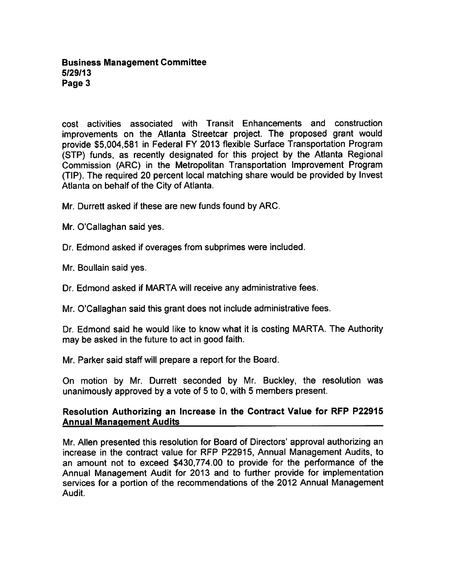cost activities associated with Transit Enhancements and construction improvements on the Atlanta Streetcar project. The proposed grant would provide \$5,004,581 in Federal FY 2013 flexible Surface Transportation Program (STP) funds, as recently designated for this project by the Atlanta Regional Commission (ARC) in the Metropolitan Transportation Improvement Program (TIP). The required 20 percent local matching share would be provided by Invest Atlanta on behalf of the City of Atlanta.

Mr. Durrett asked if these are new funds found by ARC.

- Mr. O'Callaghan said yes.
- Dr. Edmond asked if overages from subprimes were included.

Mr. Boullain said yes.

Dr. Edmond asked if MARTA will receive any administrative fees.

Mr. O'Callaghan said this grant does not include administrative fees.

Dr. Edmond said he would like to know what it is costing MARTA. The Authority may be asked in the future to act in good faith.

Mr. Parker said staff will prepare a report for the Board.

On motion by Mr. Durrett seconded by Mr. Buckley, the resolution was unanimously approved by a vote of  $5$  to  $0$ , with  $5$  members present.

### Resolution Authorizing an Increase in the Contract Value for RFP P22915 Annual Management Audits

Mr. Allen presented this resolution for Board of Directors' approval authorizing an increase in the contract value for RFP P22915, Annual Management Audits, to an amount not to exceed \$430,774.00 to provide for the performance of the Annual Management Audit for 2013 and to further provide for implementation services for a portion of the recommendations of the 2012 Annual Management Audit.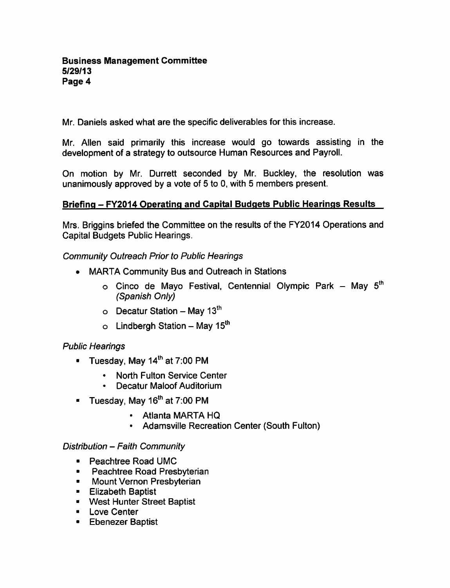Mr. Daniels asked what are the specific deliverables for this increase.

Mr. Allen said primarily this increase would go towards assisting in the development of a strategy to outsource Human Resources and Payroll.

On motion by Mr. Durrett seconded by Mr. Buckley, the resolution was unanimously approved by a vote of 5 to 0, with 5 members present.

# Briefing - FY2014 Operating and Capital Budgets Public Hearings Results

Mrs. Briggins briefed the Committee on the results of the FY2014 Operations and Capital Budgets Public Hearings.

# Community Outreach Prior to Public Hearings

- MARTA Community Bus and Outreach in Stations
	- $\circ$  Cinco de Mayo Festival, Centennial Olympic Park May 5<sup>th</sup> (Spanish Only)
	- $\circ$  Decatur Station May 13<sup>th</sup>
	- $\circ$  Lindbergh Station May 15<sup>th</sup>

# Public Hearings

- $\blacksquare$  Tuesday, May 14<sup>th</sup> at 7:00 PM
	- North Fulton Service Center
	- Decatur Maloof Auditorium
- **Tuesday, May 16<sup>th</sup> at 7:00 PM** 
	- Atlanta MARTA HQ
	- Adamsville Recreation Center (South Fulton)

# Distribution - Faith Community

- Peachtree Road UMC
- **Peachtree Road Presbyterian**
- **E** Mount Vernon Presbyterian
- **Elizabeth Baptist**
- West Hunter Street Baptist
- **Love Center**
- **Ebenezer Baptist**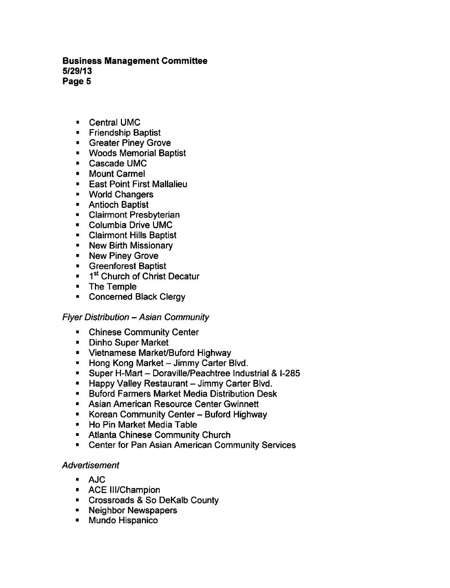- Central UMC
- **Friendship Baptist**
- **Greater Piney Grove**
- Woods Memorial Baptist
- Cascade UMC
- Mount Carmel
- **East Point First Mallalieu**
- World Changers
- Antioch Baptist
- Clairmont Presbyterian
- Columbia Drive UMC
- Clairmont Hills Baptist
- New Birth Missionary
- New Piney Grove
- Greenforest Baptist
- <sup>1st</sup> Church of Christ Decatur
- The Temple
- Concerned Black Clergy

# Flyer Distribution - Asian Community

- $\blacksquare$ Chinese Community Center
- Dinho Super Market
- Vietnamese Market/Buford Highway
- **F** Hong Kong Market Jimmy Carter Blvd.
- $\blacksquare$  Super H-Mart Doraville/Peachtree Industrial & I-285
- $\blacksquare$  Happy Valley Restaurant Jimmy Carter Blvd.
- Buford Farmers Market Media Distribution Desk
- **E** Asian American Resource Center Gwinnett
- Korean Community Center Buford Highway
- Ho Pin Market Media Table
- Atlanta Chinese Community Church
- Center for Pan Asian American Community Services

# Advertisement

- AJC
- ACE Ill/Champion
- Crossroads & So DeKalb County
- **Neighbor Newspapers**
- $\blacksquare$ Mundo Hispanico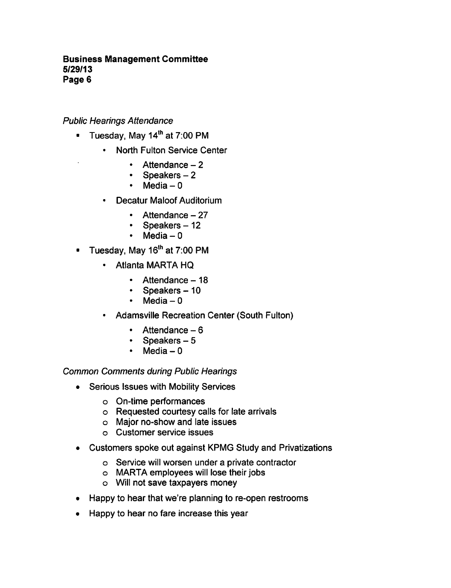Public Hearings Attendance

- Tuesday, May 14<sup>th</sup> at 7:00 PM  $\blacksquare$ 
	- North Fulton Service Center
		- $\cdot$  Attendance  $-2$
		- $\bullet$  . Speakers
		- Media  $-0$  $\bullet$
	- Decatur Maloof Auditorium  $\bullet$ 
		- $\cdot$  Attendance  $-27$
		- Speakers  $-12$
		- $\cdot$  Media 0
- $\blacksquare$  Tuesday, May 16<sup>th</sup> at 7:00 PM
	- Atlanta MARTA HQ
		- $\cdot$  Attendance  $-18$
		- $\cdot$  Speakers 10
		- $\bullet$ Media - 0
	- Adamsville Recreation Center (South Fulton)  $\bullet$ 
		- $\cdot$  Attendance  $-6$
		- $\bullet$ Speakers  $-5$
		- Media  $-0$  $\bullet$

Common Comments during Public Hearings

- Serious Issues with Mobility Services  $\bullet$ 
	- On-time performances
	- Requested courtesy calls for late arrivals
	- Major no-show and late issues
	- Customer service issues
- Customers spoke out against KPMG Study and Privatizations  $\bullet$ 
	- Service will worsen under a private contractor
	- MARTA employees will lose their jobs
	- Will not save taxpayers money
- Happy to hear that we're planning to re-open restrooms
- Happy to hear no fare increase this year $\bullet$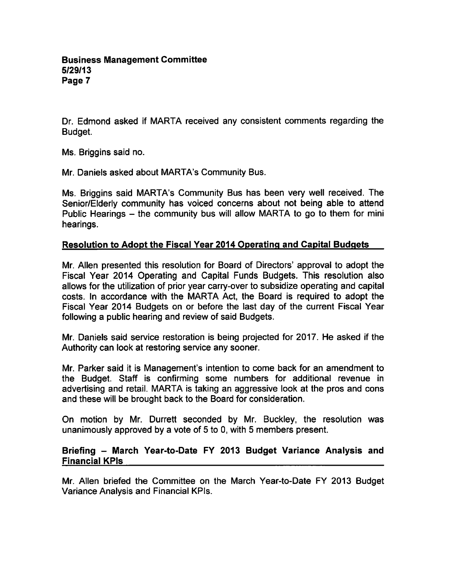Dr. Edmond asked if MARTA received any consistent comments regarding the Budget.

Ms. Briggins said no.

Mr. Daniels asked about MARTA's Community Bus.

Ms. Briggins said MARTA's Community Bus has been very well received. The Senior/Elderly community has voiced concerns about not being able to attend Public Hearings  $-$  the community bus will allow MARTA to go to them for mini hearings.

### Resolution to Adopt the Fiscal Year 2014 Operating and Capital Budgets

Mr. Allen presented this resolution for Board of Directors' approval to adopt the Fiscal Year 2014 Operating and Capital Funds Budgets. This resolution also allows for the utilization of prior year carry-over to subsidize operating and capital costs. In accordance with the MARTA Act, the Board is required to adopt the Fiscal Year 2014 Budgets on or before the last day of the current Fiscal Year following a public hearing and review of said Budgets.

Mr. Daniels said service restoration is being projected for 2017. He asked if the Authority can look at restoring service any sooner.

Mr. Parker said it is Management's intention to come back for an amendment to the Budget. Staff is confirming some numbers for additional revenue in advertising and retail. MARTA is taking an aggressive look at the pros and cons and these will be brought back to the Board for consideration.

On motion by Mr. Durrett seconded by Mr. Buckley, the resolution was unanimously approved by a vote of 5 to 0, with 5 members present.

### Briefing - March Year-to-Date FY 2013 Budget Variance Analysis and Financial KPIs

Mr. Allen briefed the Committee on the March Year-to-Date FY 2013 Budget Variance Analysis and Financial KPIs.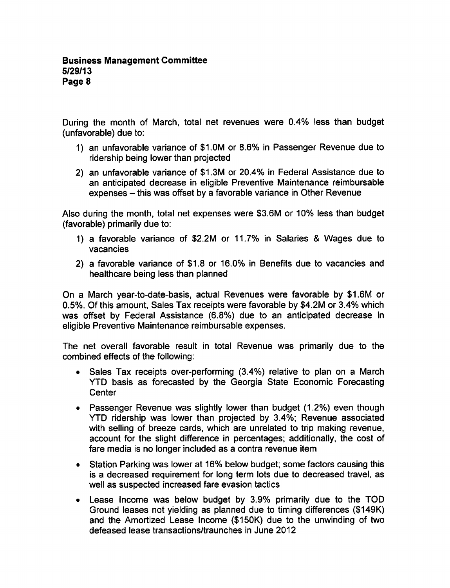During the month of March, total net revenues were 0.4% less than budget (unfavorable) due to:

- 1) an unfavorable variance of \$1.0M or 8.6% in Passenger Revenue due to ridership being lower than projected
- 2) an unfavorable variance of \$1.3M or 20.4% in Federal Assistance due to an anticipated decrease in eligible Preventive Maintenance reimbursable expenses – this was offset by a favorable variance in Other Revenue

Also during the month, total net expenses were \$3.6M or 10% less than budget (favorable) primarily due to:

- 1) a favorable variance of \$2.2M or 11.7% in Salaries & Wages due to vacancies
- 2) a favorable variance of \$1.8 or 16.0% in Benefits due to vacancies and healthcare being less than planned

On a March year-to-date-basis, actual Revenues were favorable by \$1.6M or 0.5%. Of this amount, Sales Tax receipts were favorable by \$4.2M or 3.4% which was offset by Federal Assistance (6.8%) due to an anticipated decrease in eligible Preventive Maintenance reimbursable expenses.

The net overall favorable result in total Revenue was primarily due to the combined effects of the following:

- Sales Tax receipts over-performing (3.4%) relative to plan on a March  $\bullet$ YTD basis as forecasted by the Georgia State Economic Forecasting **Center**
- Passenger Revenue was slightly lower than budget (1.2%) even though YTD ridership was lower than projected by 3.4%; Revenue associated with selling of breeze cards, which are unrelated to trip making revenue, account for the slight difference in percentages; additionally, the cost of fare media is no longer included as a contra revenue item
- Station Parking was lower at 16% below budget; some factors causing this is a decreased requirement for long term lots due to decreased travel, as well as suspected increased fare evasion tactics
- Lease Income was below budget by 3.9% primarily due to the TOD Ground leases not yielding as planned due to timing differences (\$149K) and the Amortized Lease Income (\$150K) due to the unwinding of two defeased lease transactions/traunches in June 2012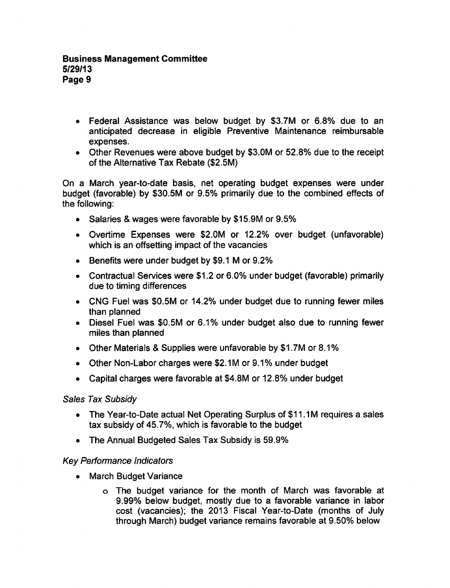- Federal Assistance was below budget by \$3.7M or 6.8% due to an anticipated decrease in eligible Preventive Maintenance reimbursable expenses.
- Other Revenues were above budget by \$3.0M or 52.8% due to the receipt of the Alternative Tax Rebate (\$2.5M)

On a March year-to-date basis, net operating budget expenses were under budget (favorable) by \$30.5M or 9.5% primarily due to the combined effects of the following:

- Salaries & wages were favorable by \$15.9M or 9.5%
- Overtime Expenses were \$2.0M or 12.2% over budget (unfavorable) which is an offsetting impact of the vacancies
- $\bullet$  Benefits were under budget by \$9.1 M or 9.2%
- Contractual Services were \$1.2 or 6.0% under budget (favorable) primarily due to timing differences
- CNG Fuel was \$0.5M or 14.2% under budget due to running fewer miles than planned
- Diesel Fuel was \$0.5M or 6.1% under budget also due to running fewer miles than planned
- Other Materials & Supplies were unfavorable by \$1.7M or 8.1%
- Other Non-Labor charges were \$2.1M or 9.1% under budget
- Capital charges were favorable at \$4.8M or 12.8% under budget

# Sales Tax Subsidy

- The Year-to-Date actual Net Operating Surplus of \$11.1M requires a sales tax subsidy of 45.7%, which is favorable to the budget
- The Annual Budgeted Sales Tax Subsidy is 59.9%

# Key Performance Indicators

- March Budget Variance
	- The budget variance for the month of March was favorable at 9.99% below budget, mostly due to a favorable variance in labor cost (vacancies); the 2013 Fiscal Year-to-Date (months of July through March) budget variance remains favorable at 9.50% below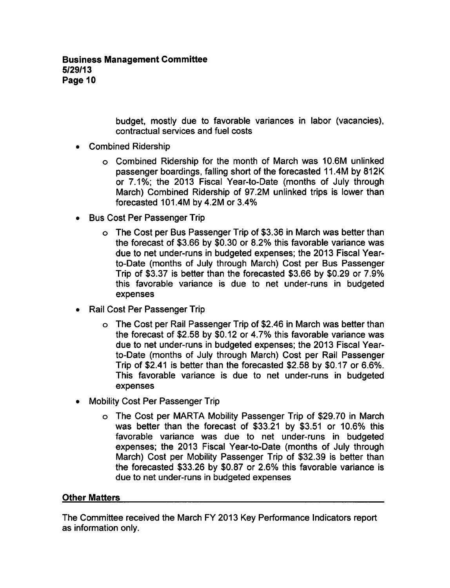budget, mostly due to favorable variances in labor (vacancies), contractual services and fuel costs

- Combined Ridership
	- Combined Ridership for the month of March was 10.6M unlinked passenger boardings, falling short of the forecasted 11.4M by 812K or 7.1%; the 2013 Fiscal Year-to-Date (months of July through March) Combined Ridership of 97.2M unlinked trips is lower than forecasted 101.4M by 4.2M or 3.4%
- Bus Cost Per Passenger Trip
	- The Cost per Bus Passenger Trip of \$3.36 in March was better than the forecast of \$3.66 by \$0.30 or 8.2% this favorable variance was due to net under-runs in budgeted expenses; the 2013 Fiscal Yearto-Date (months of July through March) Cost per Bus Passenger Trip of \$3.37 is better than the forecasted \$3.66 by \$0.29 or 7.9% this favorable variance is due to net under-runs in budgeted expenses
- Rail Cost Per Passenger Trip
	- The Cost per Rail Passenger Trip of \$2.46 in March was better than the forecast of \$2.58 by \$0.12 or 4.7% this favorable variance was due to net under-runs in budgeted expenses; the 2013 Fiscal Yearto-Date (months of July through March) Cost per Rail Passenger Trip of \$2.41 is better than the forecasted \$2.58 by \$0.17 or 6.6%. This favorable variance is due to net under-runs in budgeted expenses
- Mobility Cost Per Passenger Trip
	- The Cost per MARTA Mobility Passenger Trip of \$29.70 in March was better than the forecast of \$33.21 by \$3.51 or 10.6% this favorable variance was due to net under-runs in budgeted expenses; the 2013 Fiscal Year-to-Date (months of July through March) Cost per Mobility Passenger Trip of \$32.39 is better than the forecasted \$33.26 by \$0.87 or 2.6% this favorable variance is due to net under-runs in budgeted expenses

#### Other Matters

The Committee received the March FY 2013 Key Performance Indicators report as information only.